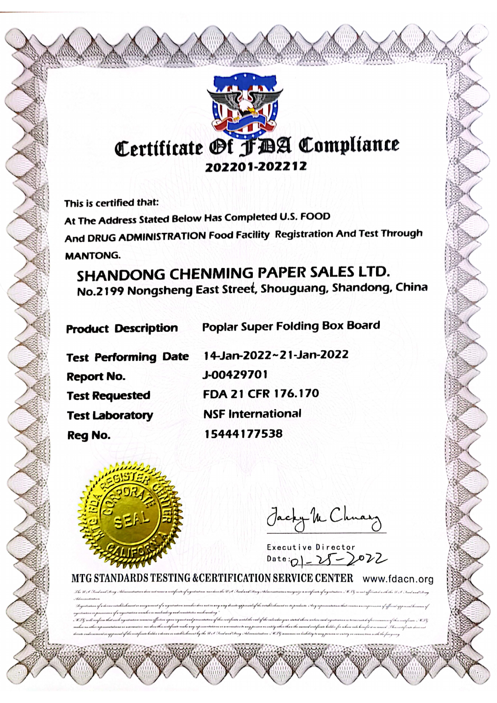# Certificate Of FDA Compliance 202201-202212

This is certified that:

At The Address Stated Below Has Completed U.S. FOOD And DRUG ADMINISTRATION Food Facility Registration And Test Through **MANTONG.** 

SHANDONG CHENMING PAPER SALES LTD. No.2199 Nongsheng East Street, Shouguang, Shandong, China

| <b>Product Description</b>  |  |
|-----------------------------|--|
| <b>Test Performing Date</b> |  |
| <b>Report No.</b>           |  |
| <b>Test Requested</b>       |  |
| <b>Test Laboratory</b>      |  |
| Rea No.                     |  |

14-Jan-2022~21-Jan-2022 J-00429701 FDA 21 CFR 176.170 **NSF International** 15444177538

**Poplar Super Folding Box Board** 



Jacky M Chnary

Executive Director<br>Date: 0 - 25 - 2022

MTG STANDARDS TESTING & CERTIFICATION SERVICE CENTER www.fdacn.org .<br>The W.I. Tend and Borg Administration has not come a conference frequentation more has the U.I. Ford and Ching relations in common mergings a complete of regardention, W.B. is not official and the U.S. Sach and Surg

ation rounder does not in any way densite approval of the ostad trehand or its products. Any representation that errotive an impression of affinish approval because of ummany any seramana amin'ny mpanamana fike evapatomikan'i dia mahananya amin'i kaominina amin'ny tenena amin'ny fivonana amin'ny fivonana amin'ny fivondronana amin'ny fivondronan-paositra .<br>no amin'ny mandritry ny kaodim-p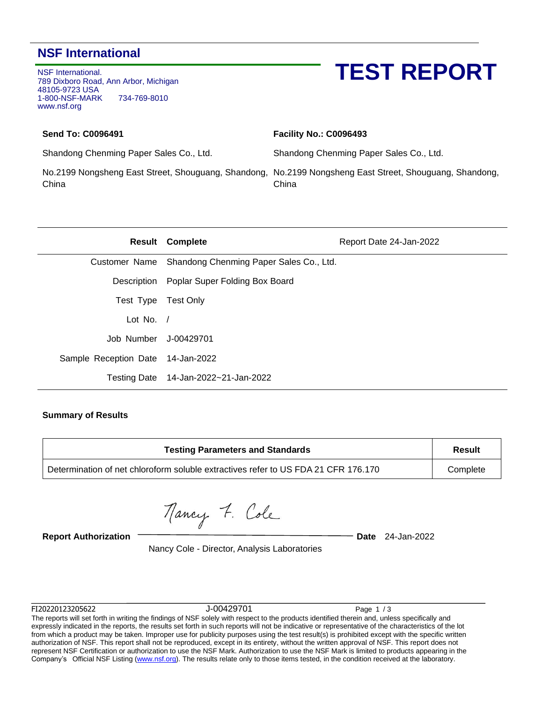### **NSF International**

NSF International. 789 Dixboro Road, Ann Arbor, Michigan 48105-9723 USA 1-800-NSF-MARK 734-769-8010 www.nsf.org

## **TEST REPORT**

#### **Send To: C0096491**

**Facility No.: C0096493**

Shandong Chenming Paper Sales Co., Ltd.

Shandong Chenming Paper Sales Co., Ltd.

China

No.2199 Nongsheng East Street, Shouguang, Shandong, No.2199 Nongsheng East Street, Shouguang, Shandong, China

|                                   | <b>Result Complete</b>                                | Report Date 24-Jan-2022 |
|-----------------------------------|-------------------------------------------------------|-------------------------|
|                                   | Customer Name Shandong Chenming Paper Sales Co., Ltd. |                         |
|                                   | Description Poplar Super Folding Box Board            |                         |
| Test Type Test Only               |                                                       |                         |
| Lot No. $/$                       |                                                       |                         |
| Job Number J-00429701             |                                                       |                         |
| Sample Reception Date 14-Jan-2022 |                                                       |                         |
| <b>Testing Date</b>               | 14-Jan-2022~21-Jan-2022                               |                         |

#### **Summary of Results**

| <b>Testing Parameters and Standards</b>                                            | Result   |
|------------------------------------------------------------------------------------|----------|
| Determination of net chloroform soluble extractives refer to US FDA 21 CFR 176.170 | Complete |

Mancy 7. Cole

**Report Authorization Date** 24-Jan-2022

Nancy Cole - Director, Analysis Laboratories

FI20220123205622 J-00429701 Page 1 / 3

The reports will set forth in writing the findings of NSF solely with respect to the products identified therein and, unless specifically and expressly indicated in the reports, the results set forth in such reports will not be indicative or representative of the characteristics of the lot from which a product may be taken. Improper use for publicity purposes using the test result(s) is prohibited except with the specific written authorization of NSF. This report shall not be reproduced, except in its entirety, without the written approval of NSF. This report does not represent NSF Certification or authorization to use the NSF Mark. Authorization to use the NSF Mark is limited to products appearing in the Company's Official NSF Listing [\(www.nsf.org\)](http://www.nsf.org/). The results relate only to those items tested, in the condition received at the laboratory.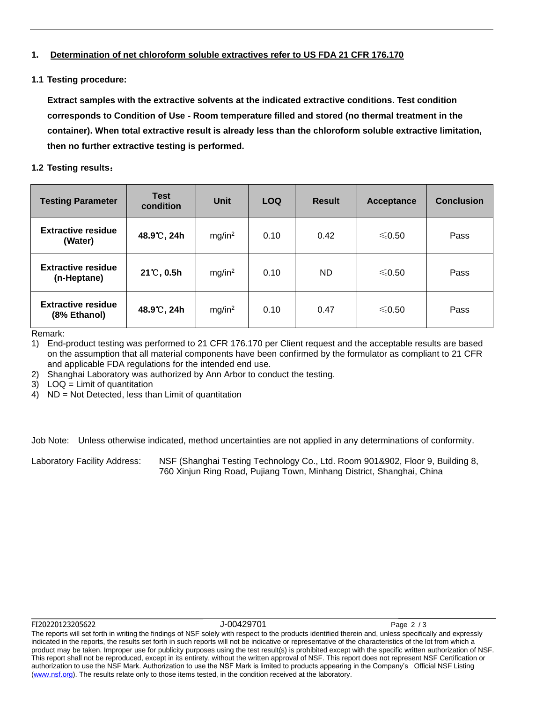#### **1. Determination of net chloroform soluble extractives refer to US FDA 21 CFR 176.170**

#### **1.1 Testing procedure:**

**Extract samples with the extractive solvents at the indicated extractive conditions. Test condition corresponds to Condition of Use - Room temperature filled and stored (no thermal treatment in the container). When total extractive result is already less than the chloroform soluble extractive limitation, then no further extractive testing is performed.**

#### **1.2 Testing results**:

| <b>Testing Parameter</b>                  | <b>Test</b><br>condition | <b>Unit</b>        | <b>LOQ</b> | <b>Result</b> | Acceptance | <b>Conclusion</b> |
|-------------------------------------------|--------------------------|--------------------|------------|---------------|------------|-------------------|
| <b>Extractive residue</b><br>(Water)      | 48.9°C, 24h              | mg/in <sup>2</sup> | 0.10       | 0.42          | ≤0.50      | Pass              |
| <b>Extractive residue</b><br>(n-Heptane)  | $21^{\circ}$ C, 0.5h     | mg/in <sup>2</sup> | 0.10       | ND.           | ≤0.50      | Pass              |
| <b>Extractive residue</b><br>(8% Ethanol) | 48.9℃, 24h               | mg/in <sup>2</sup> | 0.10       | 0.47          | ≤0.50      | Pass              |

Remark:

1) End-product testing was performed to 21 CFR 176.170 per Client request and the acceptable results are based on the assumption that all material components have been confirmed by the formulator as compliant to 21 CFR and applicable FDA regulations for the intended end use.

2) Shanghai Laboratory was authorized by Ann Arbor to conduct the testing.

3) LOQ = Limit of quantitation

4) ND = Not Detected, less than Limit of quantitation

Job Note: Unless otherwise indicated, method uncertainties are not applied in any determinations of conformity.

Laboratory Facility Address: NSF (Shanghai Testing Technology Co., Ltd. Room 901&902, Floor 9, Building 8, 760 Xinjun Ring Road, Pujiang Town, Minhang District, Shanghai, China

#### FI20220123205622 J-00429701 Page 2 / 3

The reports will set forth in writing the findings of NSF solely with respect to the products identified therein and, unless specifically and expressly indicated in the reports, the results set forth in such reports will not be indicative or representative of the characteristics of the lot from which a product may be taken. Improper use for publicity purposes using the test result(s) is prohibited except with the specific written authorization of NSF. This report shall not be reproduced, except in its entirety, without the written approval of NSF. This report does not represent NSF Certification or authorization to use the NSF Mark. Authorization to use the NSF Mark is limited to products appearing in the Company's Official NSF Listing [\(www.nsf.org\)](http://www.nsf.org/). The results relate only to those items tested, in the condition received at the laboratory.